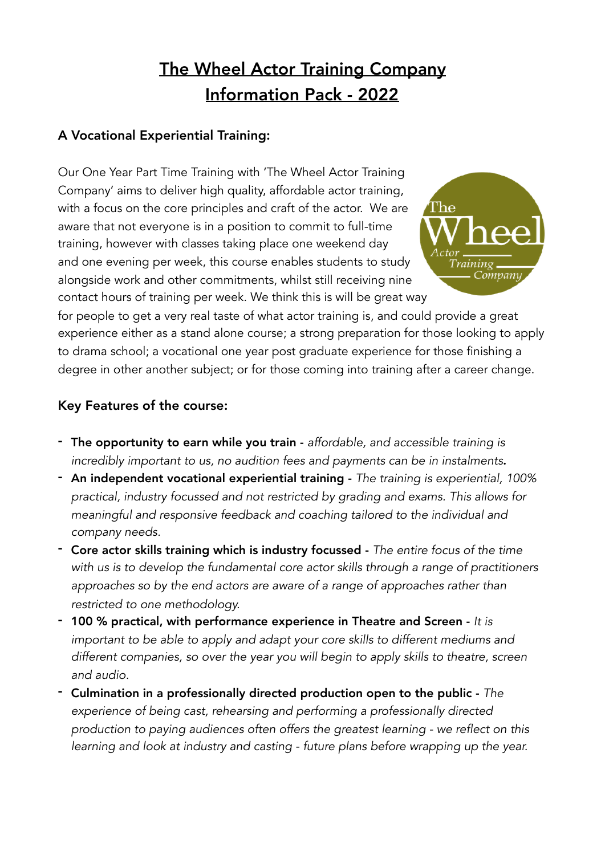# The Wheel Actor Training Company Information Pack - 2022

## A Vocational Experiential Training:

Our One Year Part Time Training with 'The Wheel Actor Training Company' aims to deliver high quality, affordable actor training, with a focus on the core principles and craft of the actor. We are aware that not everyone is in a position to commit to full-time training, however with classes taking place one weekend day and one evening per week, this course enables students to study alongside work and other commitments, whilst still receiving nine contact hours of training per week. We think this is will be great way



for people to get a very real taste of what actor training is, and could provide a great experience either as a stand alone course; a strong preparation for those looking to apply to drama school; a vocational one year post graduate experience for those finishing a degree in other another subject; or for those coming into training after a career change.

## Key Features of the course:

- The opportunity to earn while you train *affordable, and accessible training is incredibly important to us, no audition fees and payments can be in instalments*.
- An independent vocational experiential training *The training is experiential, 100% practical, industry focussed and not restricted by grading and exams. This allows for meaningful and responsive feedback and coaching tailored to the individual and company needs.*
- Core actor skills training which is industry focussed *The entire focus of the time with us is to develop the fundamental core actor skills through a range of practitioners approaches so by the end actors are aware of a range of approaches rather than restricted to one methodology.*
- 100 % practical, with performance experience in Theatre and Screen *It is important to be able to apply and adapt your core skills to different mediums and different companies, so over the year you will begin to apply skills to theatre, screen and audio.*
- Culmination in a professionally directed production open to the public *The experience of being cast, rehearsing and performing a professionally directed production to paying audiences often offers the greatest learning - we reflect on this learning and look at industry and casting - future plans before wrapping up the year.*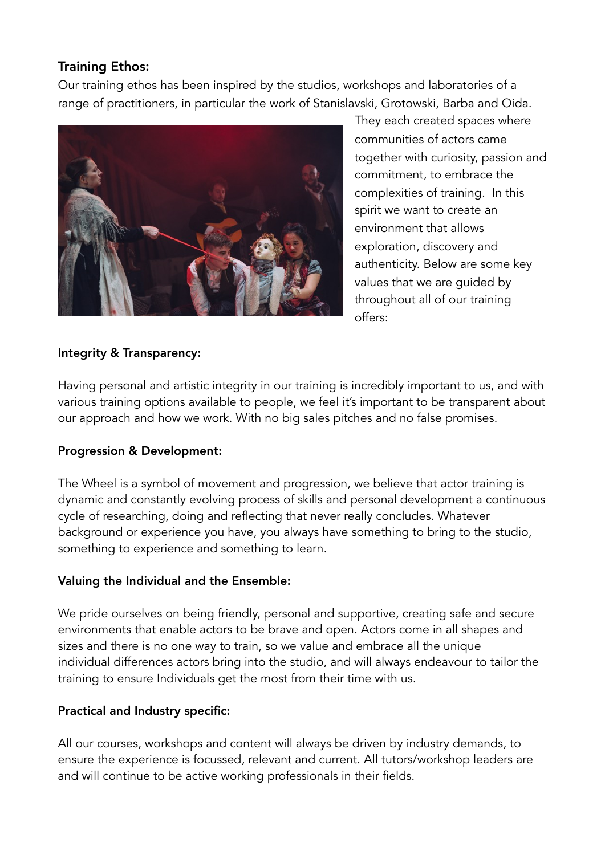## Training Ethos:

Our training ethos has been inspired by the studios, workshops and laboratories of a range of practitioners, in particular the work of Stanislavski, Grotowski, Barba and Oida.



They each created spaces where communities of actors came together with curiosity, passion and commitment, to embrace the complexities of training. In this spirit we want to create an environment that allows exploration, discovery and authenticity. Below are some key values that we are guided by throughout all of our training offers:

## Integrity & Transparency:

Having personal and artistic integrity in our training is incredibly important to us, and with various training options available to people, we feel it's important to be transparent about our approach and how we work. With no big sales pitches and no false promises.

## Progression & Development:

The Wheel is a symbol of movement and progression, we believe that actor training is dynamic and constantly evolving process of skills and personal development a continuous cycle of researching, doing and reflecting that never really concludes. Whatever background or experience you have, you always have something to bring to the studio, something to experience and something to learn.

## Valuing the Individual and the Ensemble:

We pride ourselves on being friendly, personal and supportive, creating safe and secure environments that enable actors to be brave and open. Actors come in all shapes and sizes and there is no one way to train, so we value and embrace all the unique individual differences actors bring into the studio, and will always endeavour to tailor the training to ensure Individuals get the most from their time with us.

## Practical and Industry specific:

All our courses, workshops and content will always be driven by industry demands, to ensure the experience is focussed, relevant and current. All tutors/workshop leaders are and will continue to be active working professionals in their fields.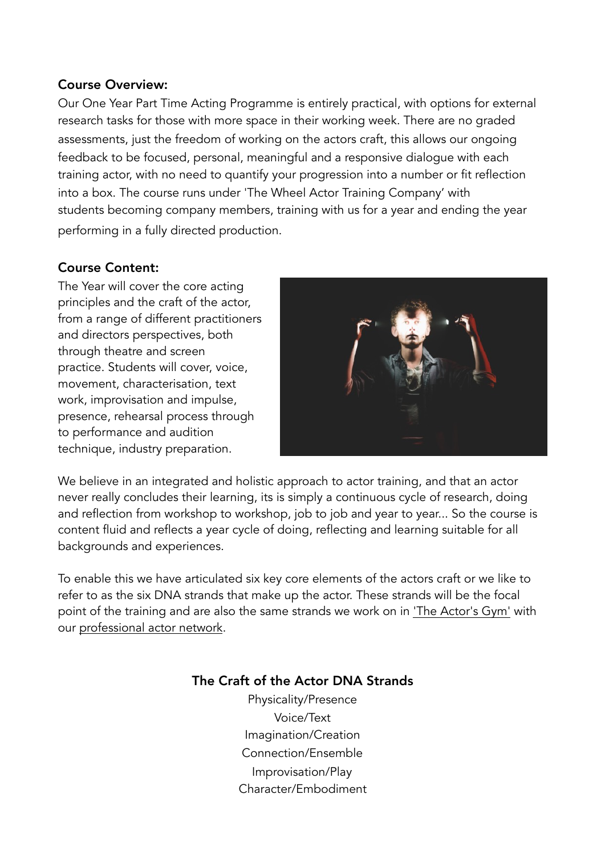#### Course Overview:

Our One Year Part Time Acting Programme is entirely practical, with options for external research tasks for those with more space in their working week. There are no graded assessments, just the freedom of working on the actors craft, this allows our ongoing feedback to be focused, personal, meaningful and a responsive dialogue with each training actor, with no need to quantify your progression into a number or fit reflection into a box. The course runs under 'The Wheel Actor Training Company' with students becoming company members, training with us for a year and ending the year performing in a fully directed production.

## Course Content:

The Year will cover the core acting principles and the craft of the actor, from a range of different practitioners and directors perspectives, both through theatre and screen practice. Students will cover, voice, movement, characterisation, text work, improvisation and impulse, presence, rehearsal process through to performance and audition technique, industry preparation.



We believe in an integrated and holistic approach to actor training, and that an actor never really concludes their learning, its is simply a continuous cycle of research, doing and reflection from workshop to workshop, job to job and year to year... So the course is content fluid and reflects a year cycle of doing, reflecting and learning suitable for all backgrounds and experiences.

To enable this we have articulated six key core elements of the actors craft or we like to refer to as the six DNA strands that make up the actor. These strands will be the focal point of the training and are also the same strands we work on in ['The Actor's Gym'](https://www.thewheel.org.uk/the-actor-s-gym) with our [professional actor network](https://www.thewheel.org.uk/the-south-west-actor-network).

## The Craft of the Actor DNA Strands

Physicality/Presence Voice/Text Imagination/Creation Connection/Ensemble Improvisation/Play Character/Embodiment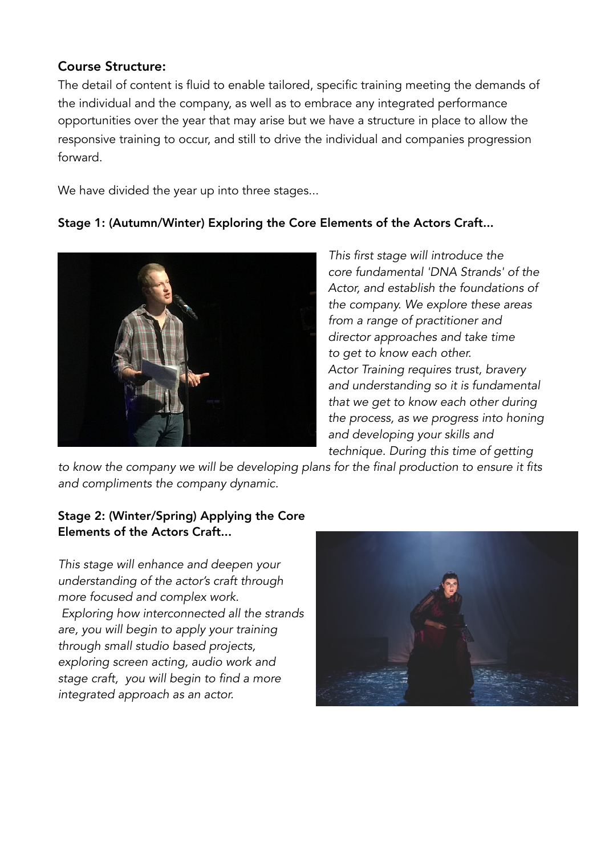## Course Structure:

The detail of content is fluid to enable tailored, specific training meeting the demands of the individual and the company, as well as to embrace any integrated performance opportunities over the year that may arise but we have a structure in place to allow the responsive training to occur, and still to drive the individual and companies progression forward.

We have divided the year up into three stages...

Stage 1: (Autumn/Winter) Exploring the Core Elements of the Actors Craft...



*This first stage will introduce the core fundamental 'DNA Strands' of the Actor, and establish the foundations of the company. We explore these areas from a range of practitioner and director approaches and take time to get to know each other. Actor Training requires trust, bravery and understanding so it is fundamental that we get to know each other during the process, as we progress into honing and developing your skills and technique. During this time of getting* 

*to know the company we will be developing plans for the final production to ensure it fits and compliments the company dynamic.*

## Stage 2: (Winter/Spring) Applying the Core Elements of the Actors Craft...

*This stage will enhance and deepen your understanding of the actor's craft through more focused and complex work. Exploring how interconnected all the strands are, you will begin to apply your training through small studio based projects, exploring screen acting, audio work and stage craft, you will begin to find a more integrated approach as an actor.*

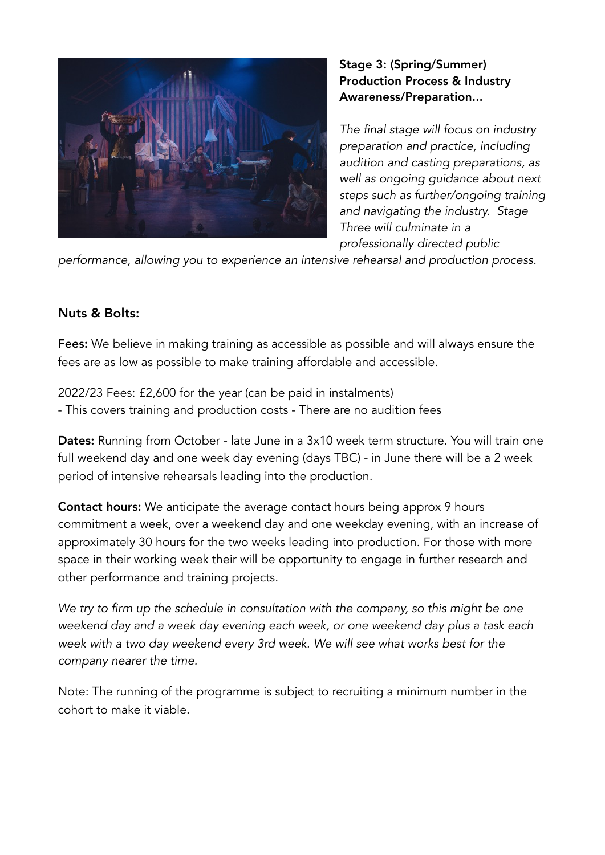

Stage 3: (Spring/Summer) Production Process & Industry Awareness/Preparation...

*The final stage will focus on industry preparation and practice, including audition and casting preparations, as well as ongoing guidance about next steps such as further/ongoing training and navigating the industry. Stage Three will culminate in a professionally directed public* 

*performance, allowing you to experience an intensive rehearsal and production process.*

## Nuts & Bolts:

Fees: We believe in making training as accessible as possible and will always ensure the fees are as low as possible to make training affordable and accessible.

2022/23 Fees: £2,600 for the year (can be paid in instalments) - This covers training and production costs - There are no audition fees

Dates: Running from October - late June in a 3x10 week term structure. You will train one full weekend day and one week day evening (days TBC) - in June there will be a 2 week period of intensive rehearsals leading into the production.

Contact hours: We anticipate the average contact hours being approx 9 hours commitment a week, over a weekend day and one weekday evening, with an increase of approximately 30 hours for the two weeks leading into production. For those with more space in their working week their will be opportunity to engage in further research and other performance and training projects.

We try to firm up the schedule in consultation with the company, so this might be one *weekend day and a week day evening each week, or one weekend day plus a task each week with a two day weekend every 3rd week. We will see what works best for the company nearer the time.* 

Note: The running of the programme is subject to recruiting a minimum number in the cohort to make it viable.